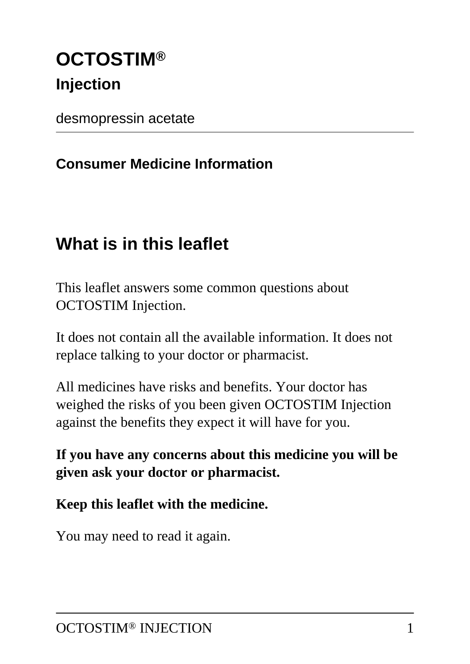# **OCTOSTIM® Injection**

desmopressin acetate

### **Consumer Medicine Information**

# **What is in this leaflet**

This leaflet answers some common questions about OCTOSTIM Injection.

It does not contain all the available information. It does not replace talking to your doctor or pharmacist.

All medicines have risks and benefits. Your doctor has weighed the risks of you been given OCTOSTIM Injection against the benefits they expect it will have for you.

**If you have any concerns about this medicine you will be given ask your doctor or pharmacist.**

#### **Keep this leaflet with the medicine.**

You may need to read it again.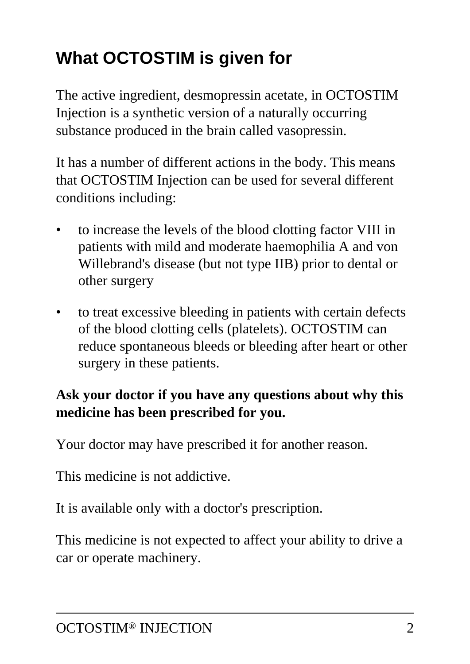# **What OCTOSTIM is given for**

The active ingredient, desmopressin acetate, in OCTOSTIM Injection is a synthetic version of a naturally occurring substance produced in the brain called vasopressin.

It has a number of different actions in the body. This means that OCTOSTIM Injection can be used for several different conditions including:

- to increase the levels of the blood clotting factor VIII in patients with mild and moderate haemophilia A and von Willebrand's disease (but not type IIB) prior to dental or other surgery
- to treat excessive bleeding in patients with certain defects of the blood clotting cells (platelets). OCTOSTIM can reduce spontaneous bleeds or bleeding after heart or other surgery in these patients.

### **Ask your doctor if you have any questions about why this medicine has been prescribed for you.**

Your doctor may have prescribed it for another reason.

This medicine is not addictive.

It is available only with a doctor's prescription.

This medicine is not expected to affect your ability to drive a car or operate machinery.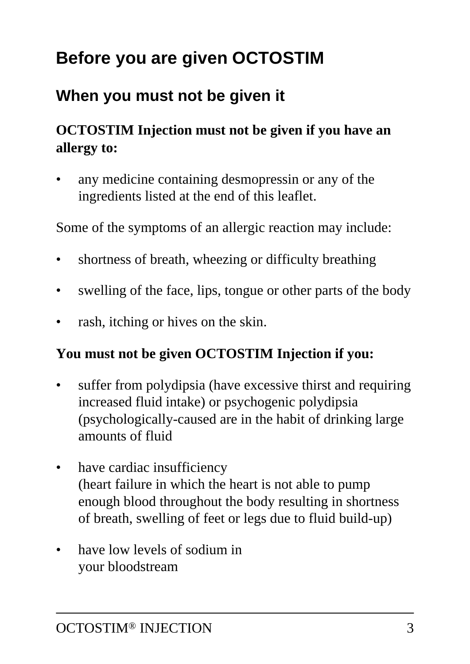# **Before you are given OCTOSTIM**

### **When you must not be given it**

### **OCTOSTIM Injection must not be given if you have an allergy to:**

any medicine containing desmopressin or any of the ingredients listed at the end of this leaflet.

Some of the symptoms of an allergic reaction may include:

- shortness of breath, wheezing or difficulty breathing
- swelling of the face, lips, tongue or other parts of the body
- rash, itching or hives on the skin.

#### **You must not be given OCTOSTIM Injection if you:**

- suffer from polydipsia (have excessive thirst and requiring increased fluid intake) or psychogenic polydipsia (psychologically-caused are in the habit of drinking large amounts of fluid
- have cardiac insufficiency (heart failure in which the heart is not able to pump enough blood throughout the body resulting in shortness of breath, swelling of feet or legs due to fluid build-up)
- have low levels of sodium in your bloodstream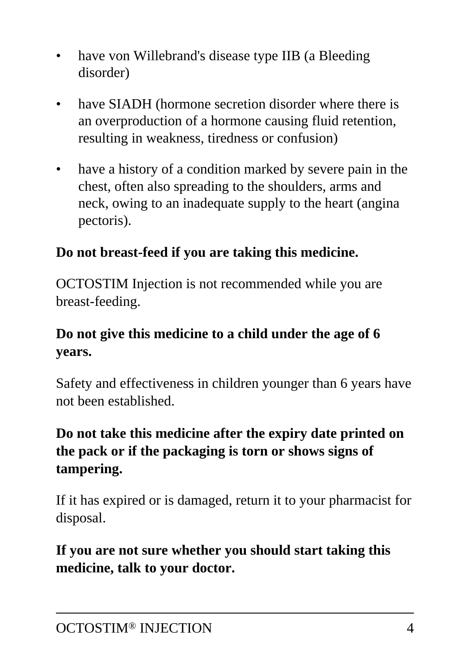- have von Willebrand's disease type IIB (a Bleeding disorder)
- have SIADH (hormone secretion disorder where there is an overproduction of a hormone causing fluid retention, resulting in weakness, tiredness or confusion)
- have a history of a condition marked by severe pain in the chest, often also spreading to the shoulders, arms and neck, owing to an inadequate supply to the heart (angina pectoris).

#### **Do not breast-feed if you are taking this medicine.**

OCTOSTIM Injection is not recommended while you are breast-feeding.

#### **Do not give this medicine to a child under the age of 6 years.**

Safety and effectiveness in children younger than 6 years have not been established.

#### **Do not take this medicine after the expiry date printed on the pack or if the packaging is torn or shows signs of tampering.**

If it has expired or is damaged, return it to your pharmacist for disposal.

**If you are not sure whether you should start taking this medicine, talk to your doctor.**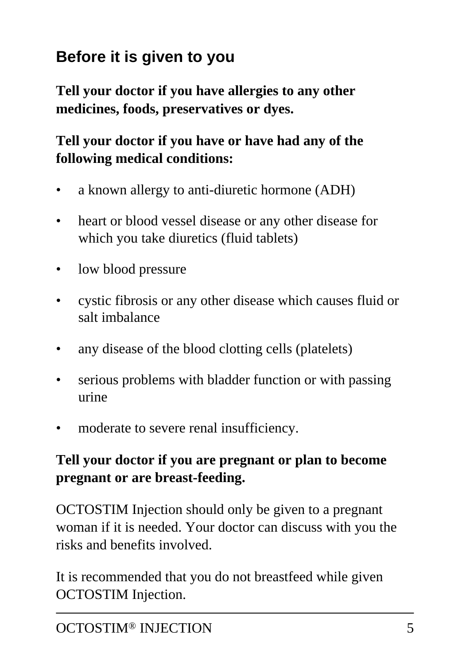# **Before it is given to you**

**Tell your doctor if you have allergies to any other medicines, foods, preservatives or dyes.**

### **Tell your doctor if you have or have had any of the following medical conditions:**

- a known allergy to anti-diuretic hormone (ADH)
- heart or blood vessel disease or any other disease for which you take diuretics (fluid tablets)
- low blood pressure
- cystic fibrosis or any other disease which causes fluid or salt imbalance
- any disease of the blood clotting cells (platelets)
- serious problems with bladder function or with passing urine
- moderate to severe renal insufficiency.

#### **Tell your doctor if you are pregnant or plan to become pregnant or are breast-feeding.**

OCTOSTIM Injection should only be given to a pregnant woman if it is needed. Your doctor can discuss with you the risks and benefits involved.

It is recommended that you do not breastfeed while given OCTOSTIM Injection.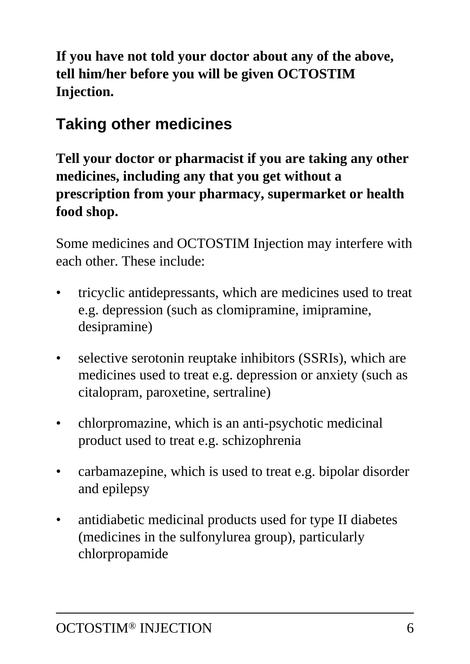**If you have not told your doctor about any of the above, tell him/her before you will be given OCTOSTIM Injection.**

## **Taking other medicines**

**Tell your doctor or pharmacist if you are taking any other medicines, including any that you get without a prescription from your pharmacy, supermarket or health food shop.**

Some medicines and OCTOSTIM Injection may interfere with each other. These include:

- tricyclic antidepressants, which are medicines used to treat e.g. depression (such as clomipramine, imipramine, desipramine)
- selective serotonin reuptake inhibitors (SSRIs), which are medicines used to treat e.g. depression or anxiety (such as citalopram, paroxetine, sertraline)
- chlorpromazine, which is an anti-psychotic medicinal product used to treat e.g. schizophrenia
- carbamazepine, which is used to treat e.g. bipolar disorder and epilepsy
- antidiabetic medicinal products used for type II diabetes (medicines in the sulfonylurea group), particularly chlorpropamide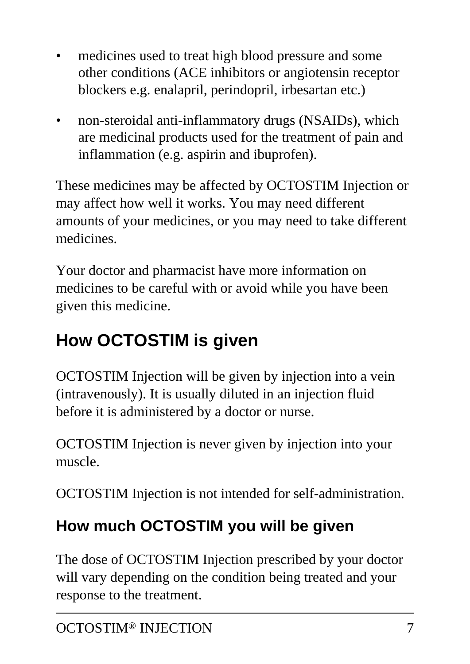- medicines used to treat high blood pressure and some other conditions (ACE inhibitors or angiotensin receptor blockers e.g. enalapril, perindopril, irbesartan etc.)
- non-steroidal anti-inflammatory drugs (NSAIDs), which are medicinal products used for the treatment of pain and inflammation (e.g. aspirin and ibuprofen).

These medicines may be affected by OCTOSTIM Injection or may affect how well it works. You may need different amounts of your medicines, or you may need to take different medicines.

Your doctor and pharmacist have more information on medicines to be careful with or avoid while you have been given this medicine.

# **How OCTOSTIM is given**

OCTOSTIM Injection will be given by injection into a vein (intravenously). It is usually diluted in an injection fluid before it is administered by a doctor or nurse.

OCTOSTIM Injection is never given by injection into your muscle.

OCTOSTIM Injection is not intended for self-administration.

## **How much OCTOSTIM you will be given**

The dose of OCTOSTIM Injection prescribed by your doctor will vary depending on the condition being treated and your response to the treatment.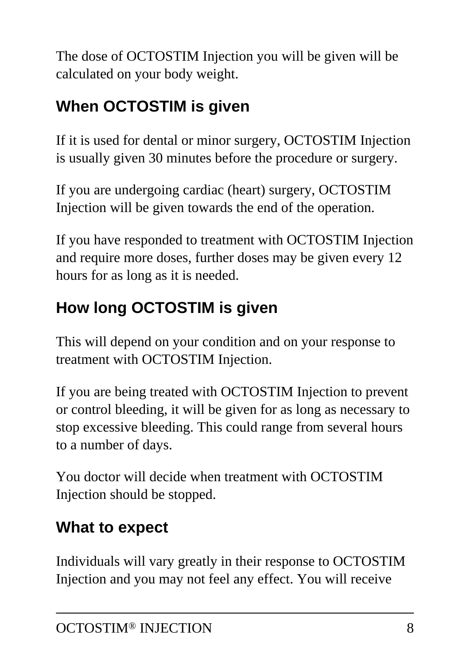The dose of OCTOSTIM Injection you will be given will be calculated on your body weight.

# **When OCTOSTIM is given**

If it is used for dental or minor surgery, OCTOSTIM Injection is usually given 30 minutes before the procedure or surgery.

If you are undergoing cardiac (heart) surgery, OCTOSTIM Injection will be given towards the end of the operation.

If you have responded to treatment with OCTOSTIM Injection and require more doses, further doses may be given every 12 hours for as long as it is needed.

# **How long OCTOSTIM is given**

This will depend on your condition and on your response to treatment with OCTOSTIM Injection.

If you are being treated with OCTOSTIM Injection to prevent or control bleeding, it will be given for as long as necessary to stop excessive bleeding. This could range from several hours to a number of days.

You doctor will decide when treatment with OCTOSTIM Injection should be stopped.

## **What to expect**

Individuals will vary greatly in their response to OCTOSTIM Injection and you may not feel any effect. You will receive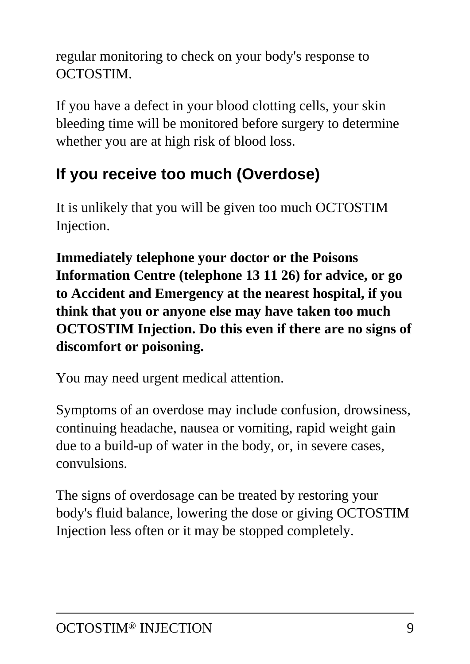regular monitoring to check on your body's response to OCTOSTIM.

If you have a defect in your blood clotting cells, your skin bleeding time will be monitored before surgery to determine whether you are at high risk of blood loss.

# **If you receive too much (Overdose)**

It is unlikely that you will be given too much OCTOSTIM Injection.

**Immediately telephone your doctor or the Poisons Information Centre (telephone 13 11 26) for advice, or go to Accident and Emergency at the nearest hospital, if you think that you or anyone else may have taken too much OCTOSTIM Injection. Do this even if there are no signs of discomfort or poisoning.**

You may need urgent medical attention.

Symptoms of an overdose may include confusion, drowsiness, continuing headache, nausea or vomiting, rapid weight gain due to a build-up of water in the body, or, in severe cases, convulsions.

The signs of overdosage can be treated by restoring your body's fluid balance, lowering the dose or giving OCTOSTIM Injection less often or it may be stopped completely.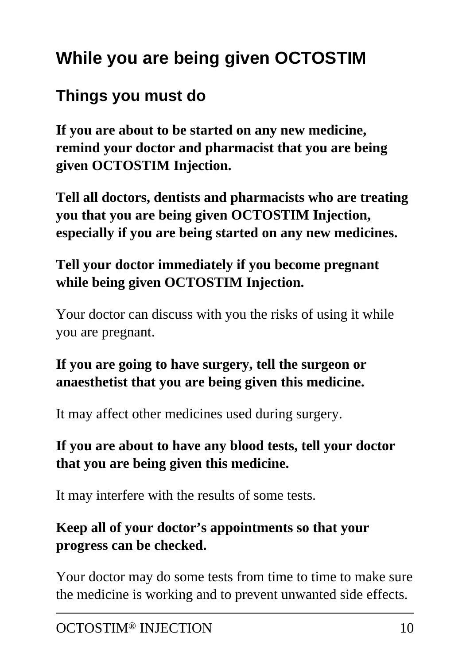# **While you are being given OCTOSTIM**

### **Things you must do**

**If you are about to be started on any new medicine, remind your doctor and pharmacist that you are being given OCTOSTIM Injection.**

**Tell all doctors, dentists and pharmacists who are treating you that you are being given OCTOSTIM Injection, especially if you are being started on any new medicines.**

### **Tell your doctor immediately if you become pregnant while being given OCTOSTIM Injection.**

Your doctor can discuss with you the risks of using it while you are pregnant.

#### **If you are going to have surgery, tell the surgeon or anaesthetist that you are being given this medicine.**

It may affect other medicines used during surgery.

#### **If you are about to have any blood tests, tell your doctor that you are being given this medicine.**

It may interfere with the results of some tests.

#### **Keep all of your doctor's appointments so that your progress can be checked.**

Your doctor may do some tests from time to time to make sure the medicine is working and to prevent unwanted side effects.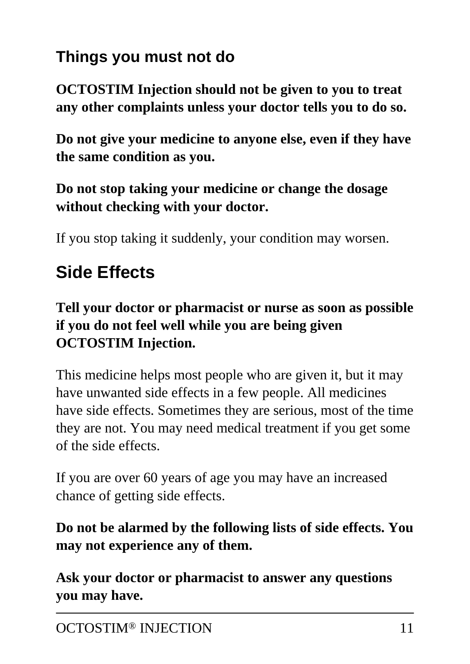# **Things you must not do**

**OCTOSTIM Injection should not be given to you to treat any other complaints unless your doctor tells you to do so.**

**Do not give your medicine to anyone else, even if they have the same condition as you.**

**Do not stop taking your medicine or change the dosage without checking with your doctor.**

If you stop taking it suddenly, your condition may worsen.

# **Side Effects**

#### **Tell your doctor or pharmacist or nurse as soon as possible if you do not feel well while you are being given OCTOSTIM Injection.**

This medicine helps most people who are given it, but it may have unwanted side effects in a few people. All medicines have side effects. Sometimes they are serious, most of the time they are not. You may need medical treatment if you get some of the side effects.

If you are over 60 years of age you may have an increased chance of getting side effects.

#### **Do not be alarmed by the following lists of side effects. You may not experience any of them.**

**Ask your doctor or pharmacist to answer any questions you may have.**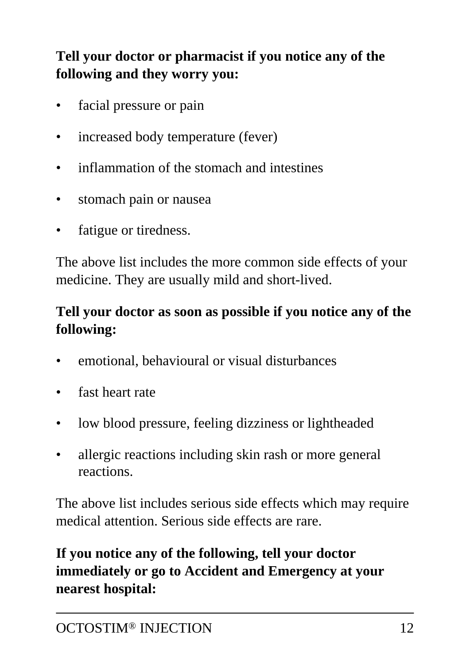### **Tell your doctor or pharmacist if you notice any of the following and they worry you:**

- facial pressure or pain
- increased body temperature (fever)
- inflammation of the stomach and intestines
- stomach pain or nausea
- fatigue or tiredness.

The above list includes the more common side effects of your medicine. They are usually mild and short-lived.

#### **Tell your doctor as soon as possible if you notice any of the following:**

- emotional, behavioural or visual disturbances
- fast heart rate
- low blood pressure, feeling dizziness or lightheaded
- allergic reactions including skin rash or more general reactions.

The above list includes serious side effects which may require medical attention. Serious side effects are rare.

#### **If you notice any of the following, tell your doctor immediately or go to Accident and Emergency at your nearest hospital:**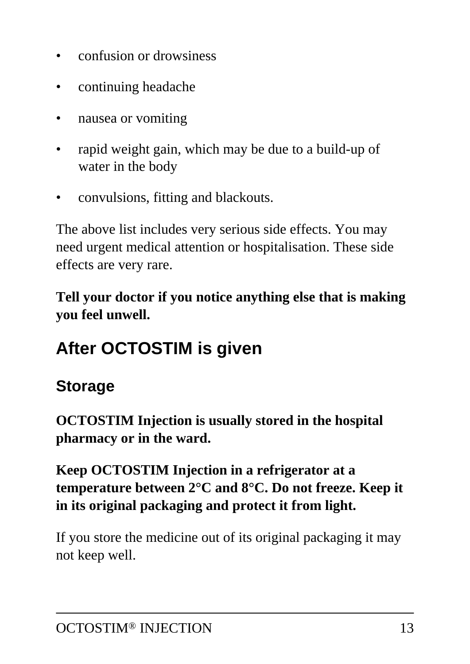- confusion or drowsiness
- continuing headache
- nausea or vomiting
- rapid weight gain, which may be due to a build-up of water in the body
- convulsions, fitting and blackouts.

The above list includes very serious side effects. You may need urgent medical attention or hospitalisation. These side effects are very rare.

**Tell your doctor if you notice anything else that is making you feel unwell.**

# **After OCTOSTIM is given**

## **Storage**

**OCTOSTIM Injection is usually stored in the hospital pharmacy or in the ward.**

**Keep OCTOSTIM Injection in a refrigerator at a temperature between 2°C and 8°C. Do not freeze. Keep it in its original packaging and protect it from light.**

If you store the medicine out of its original packaging it may not keep well.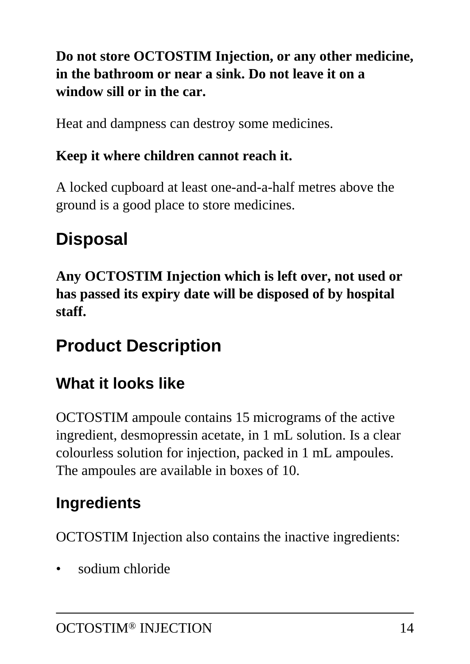### **Do not store OCTOSTIM Injection, or any other medicine, in the bathroom or near a sink. Do not leave it on a window sill or in the car.**

Heat and dampness can destroy some medicines.

#### **Keep it where children cannot reach it.**

A locked cupboard at least one-and-a-half metres above the ground is a good place to store medicines.

# **Disposal**

**Any OCTOSTIM Injection which is left over, not used or has passed its expiry date will be disposed of by hospital staff.**

# **Product Description**

## **What it looks like**

OCTOSTIM ampoule contains 15 micrograms of the active ingredient, desmopressin acetate, in 1 mL solution. Is a clear colourless solution for injection, packed in 1 mL ampoules. The ampoules are available in boxes of 10.

## **Ingredients**

OCTOSTIM Injection also contains the inactive ingredients:

• sodium chloride